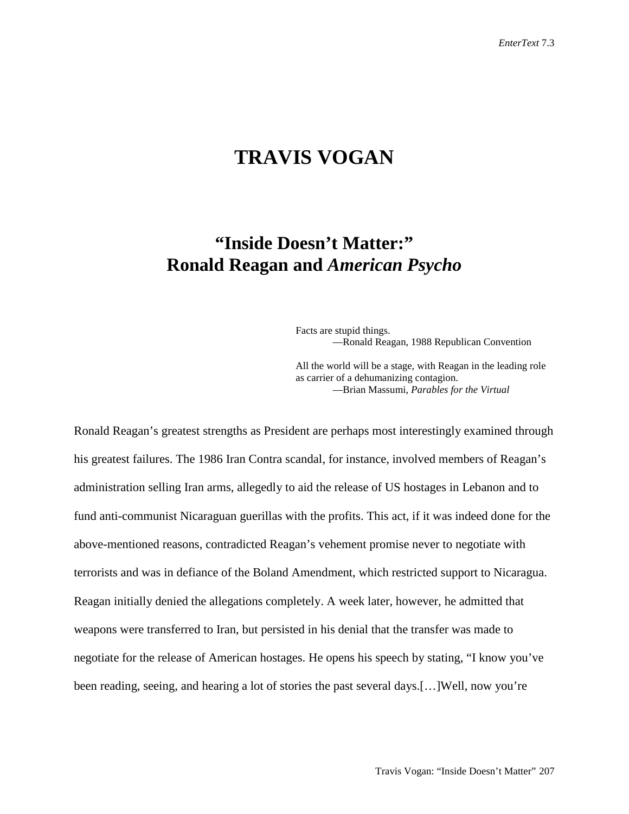## **TRAVIS VOGAN**

## **"Inside Doesn't Matter:" Ronald Reagan and** *American Psycho*

Facts are stupid things. —Ronald Reagan, 1988 Republican Convention

All the world will be a stage, with Reagan in the leading role as carrier of a dehumanizing contagion. —Brian Massumi, *Parables for the Virtual*

Ronald Reagan's greatest strengths as President are perhaps most interestingly examined through his greatest failures. The 1986 Iran Contra scandal, for instance, involved members of Reagan's administration selling Iran arms, allegedly to aid the release of US hostages in Lebanon and to fund anti-communist Nicaraguan guerillas with the profits. This act, if it was indeed done for the above-mentioned reasons, contradicted Reagan's vehement promise never to negotiate with terrorists and was in defiance of the Boland Amendment, which restricted support to Nicaragua. Reagan initially denied the allegations completely. A week later, however, he admitted that weapons were transferred to Iran, but persisted in his denial that the transfer was made to negotiate for the release of American hostages. He opens his speech by stating, "I know you've been reading, seeing, and hearing a lot of stories the past several days.[…]Well, now you're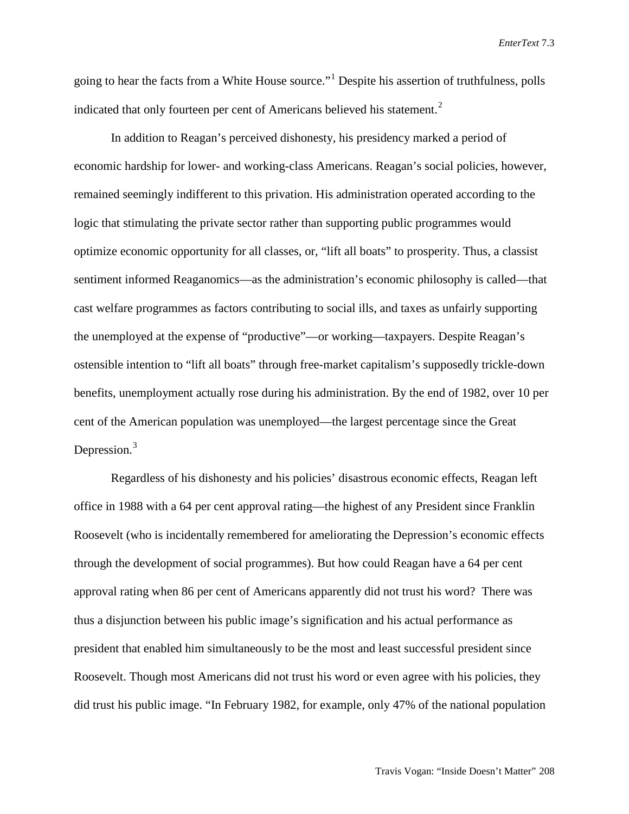going to hear the facts from a White House source."<sup>[1](#page-13-0)</sup> Despite his assertion of truthfulness, polls indicated that only fourteen per cent of Americans believed his statement.<sup>[2](#page-13-1)</sup>

In addition to Reagan's perceived dishonesty, his presidency marked a period of economic hardship for lower- and working-class Americans. Reagan's social policies, however, remained seemingly indifferent to this privation. His administration operated according to the logic that stimulating the private sector rather than supporting public programmes would optimize economic opportunity for all classes, or, "lift all boats" to prosperity. Thus, a classist sentiment informed Reaganomics—as the administration's economic philosophy is called—that cast welfare programmes as factors contributing to social ills, and taxes as unfairly supporting the unemployed at the expense of "productive"—or working—taxpayers. Despite Reagan's ostensible intention to "lift all boats" through free-market capitalism's supposedly trickle-down benefits, unemployment actually rose during his administration. By the end of 1982, over 10 per cent of the American population was unemployed—the largest percentage since the Great Depression.<sup>[3](#page-13-2)</sup>

Regardless of his dishonesty and his policies' disastrous economic effects, Reagan left office in 1988 with a 64 per cent approval rating—the highest of any President since Franklin Roosevelt (who is incidentally remembered for ameliorating the Depression's economic effects through the development of social programmes). But how could Reagan have a 64 per cent approval rating when 86 per cent of Americans apparently did not trust his word? There was thus a disjunction between his public image's signification and his actual performance as president that enabled him simultaneously to be the most and least successful president since Roosevelt. Though most Americans did not trust his word or even agree with his policies, they did trust his public image. "In February 1982, for example, only 47% of the national population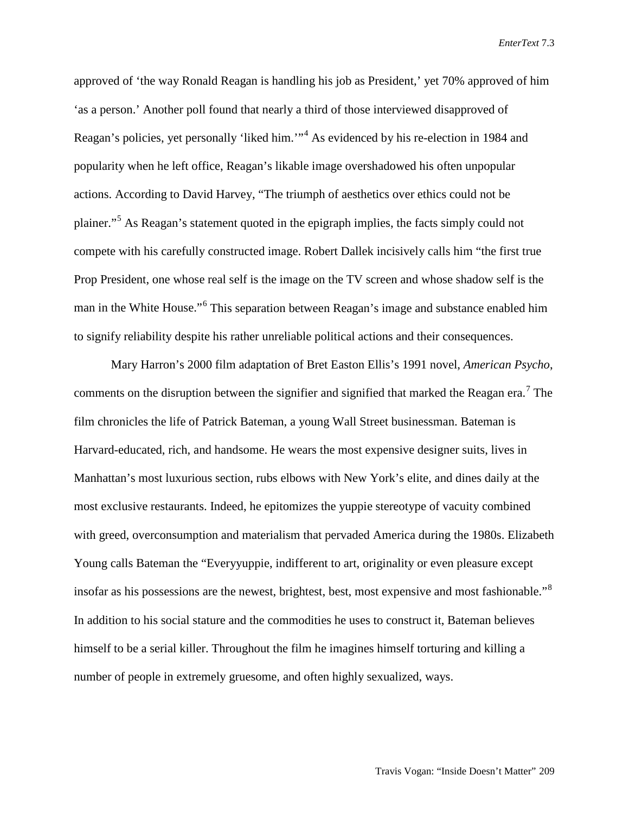approved of 'the way Ronald Reagan is handling his job as President,' yet 70% approved of him 'as a person.' Another poll found that nearly a third of those interviewed disapproved of Reagan's policies, yet personally 'liked him.'"[4](#page-13-3) As evidenced by his re-election in 1984 and popularity when he left office, Reagan's likable image overshadowed his often unpopular actions. According to David Harvey, "The triumph of aesthetics over ethics could not be plainer."[5](#page-13-4) As Reagan's statement quoted in the epigraph implies, the facts simply could not compete with his carefully constructed image. Robert Dallek incisively calls him "the first true Prop President, one whose real self is the image on the TV screen and whose shadow self is the man in the White House."[6](#page-13-5) This separation between Reagan's image and substance enabled him to signify reliability despite his rather unreliable political actions and their consequences.

Mary Harron's 2000 film adaptation of Bret Easton Ellis's 1991 novel, *American Psycho*, comments on the disruption between the signifier and signified that marked the Reagan era.<sup>[7](#page-13-6)</sup> The film chronicles the life of Patrick Bateman, a young Wall Street businessman. Bateman is Harvard-educated, rich, and handsome. He wears the most expensive designer suits, lives in Manhattan's most luxurious section, rubs elbows with New York's elite, and dines daily at the most exclusive restaurants. Indeed, he epitomizes the yuppie stereotype of vacuity combined with greed, overconsumption and materialism that pervaded America during the 1980s. Elizabeth Young calls Bateman the "Everyyuppie, indifferent to art, originality or even pleasure except insofar as his possessions are the newest, brightest, best, most expensive and most fashionable."<sup>[8](#page-13-7)</sup> In addition to his social stature and the commodities he uses to construct it, Bateman believes himself to be a serial killer. Throughout the film he imagines himself torturing and killing a number of people in extremely gruesome, and often highly sexualized, ways.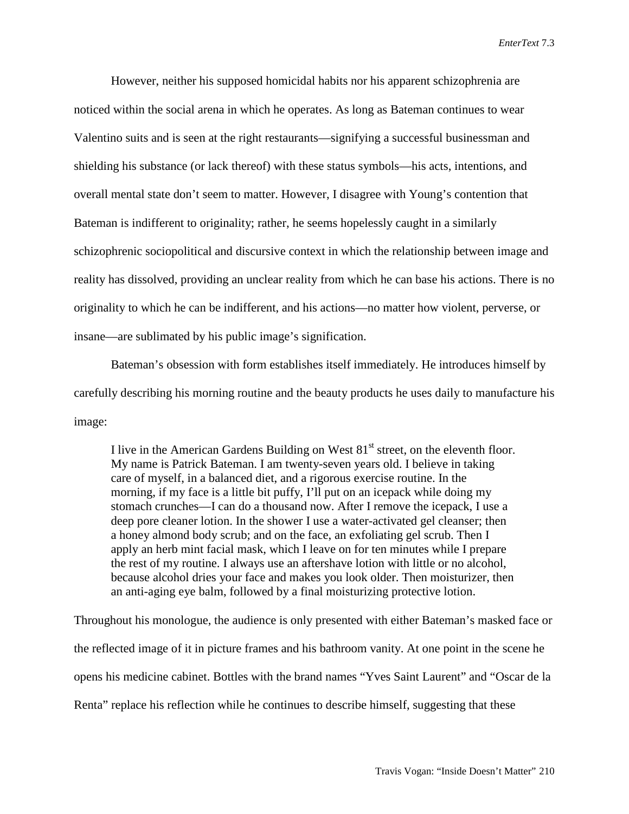However, neither his supposed homicidal habits nor his apparent schizophrenia are noticed within the social arena in which he operates. As long as Bateman continues to wear Valentino suits and is seen at the right restaurants—signifying a successful businessman and shielding his substance (or lack thereof) with these status symbols—his acts, intentions, and overall mental state don't seem to matter. However, I disagree with Young's contention that Bateman is indifferent to originality; rather, he seems hopelessly caught in a similarly schizophrenic sociopolitical and discursive context in which the relationship between image and reality has dissolved, providing an unclear reality from which he can base his actions. There is no originality to which he can be indifferent, and his actions—no matter how violent, perverse, or insane—are sublimated by his public image's signification.

Bateman's obsession with form establishes itself immediately. He introduces himself by carefully describing his morning routine and the beauty products he uses daily to manufacture his image:

I live in the American Gardens Building on West  $81<sup>st</sup>$  street, on the eleventh floor. My name is Patrick Bateman. I am twenty-seven years old. I believe in taking care of myself, in a balanced diet, and a rigorous exercise routine. In the morning, if my face is a little bit puffy, I'll put on an icepack while doing my stomach crunches—I can do a thousand now. After I remove the icepack, I use a deep pore cleaner lotion. In the shower I use a water-activated gel cleanser; then a honey almond body scrub; and on the face, an exfoliating gel scrub. Then I apply an herb mint facial mask, which I leave on for ten minutes while I prepare the rest of my routine. I always use an aftershave lotion with little or no alcohol, because alcohol dries your face and makes you look older. Then moisturizer, then an anti-aging eye balm, followed by a final moisturizing protective lotion.

Throughout his monologue, the audience is only presented with either Bateman's masked face or the reflected image of it in picture frames and his bathroom vanity. At one point in the scene he opens his medicine cabinet. Bottles with the brand names "Yves Saint Laurent" and "Oscar de la Renta" replace his reflection while he continues to describe himself, suggesting that these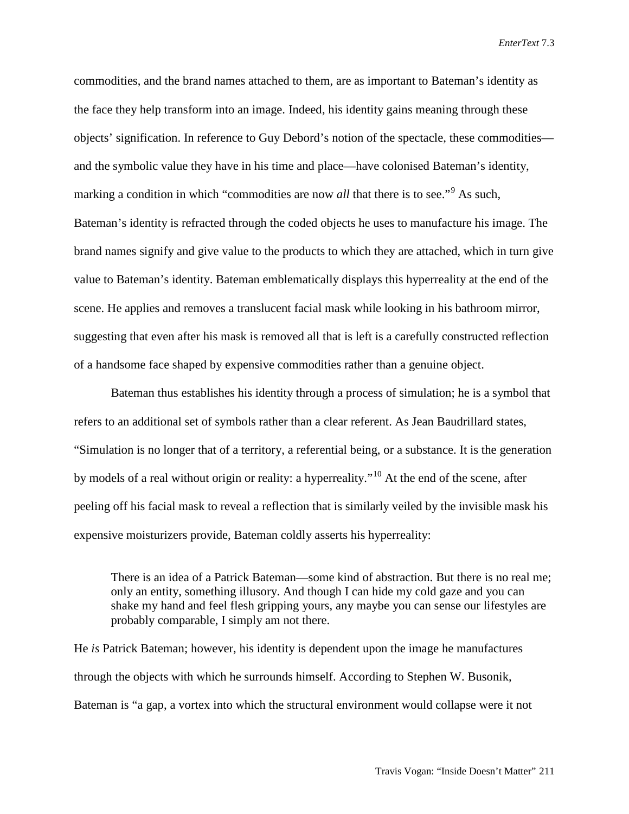commodities, and the brand names attached to them, are as important to Bateman's identity as the face they help transform into an image. Indeed, his identity gains meaning through these objects' signification. In reference to Guy Debord's notion of the spectacle, these commodities and the symbolic value they have in his time and place—have colonised Bateman's identity, marking a condition in which "commodities are now *all* that there is to see."<sup>[9](#page-13-8)</sup> As such, Bateman's identity is refracted through the coded objects he uses to manufacture his image. The brand names signify and give value to the products to which they are attached, which in turn give value to Bateman's identity. Bateman emblematically displays this hyperreality at the end of the scene. He applies and removes a translucent facial mask while looking in his bathroom mirror, suggesting that even after his mask is removed all that is left is a carefully constructed reflection of a handsome face shaped by expensive commodities rather than a genuine object.

Bateman thus establishes his identity through a process of simulation; he is a symbol that refers to an additional set of symbols rather than a clear referent. As Jean Baudrillard states, "Simulation is no longer that of a territory, a referential being, or a substance. It is the generation by models of a real without origin or reality: a hyperreality."<sup>[10](#page-13-9)</sup> At the end of the scene, after peeling off his facial mask to reveal a reflection that is similarly veiled by the invisible mask his expensive moisturizers provide, Bateman coldly asserts his hyperreality:

There is an idea of a Patrick Bateman—some kind of abstraction. But there is no real me; only an entity, something illusory. And though I can hide my cold gaze and you can shake my hand and feel flesh gripping yours, any maybe you can sense our lifestyles are probably comparable, I simply am not there.

He *is* Patrick Bateman; however, his identity is dependent upon the image he manufactures through the objects with which he surrounds himself. According to Stephen W. Busonik, Bateman is "a gap, a vortex into which the structural environment would collapse were it not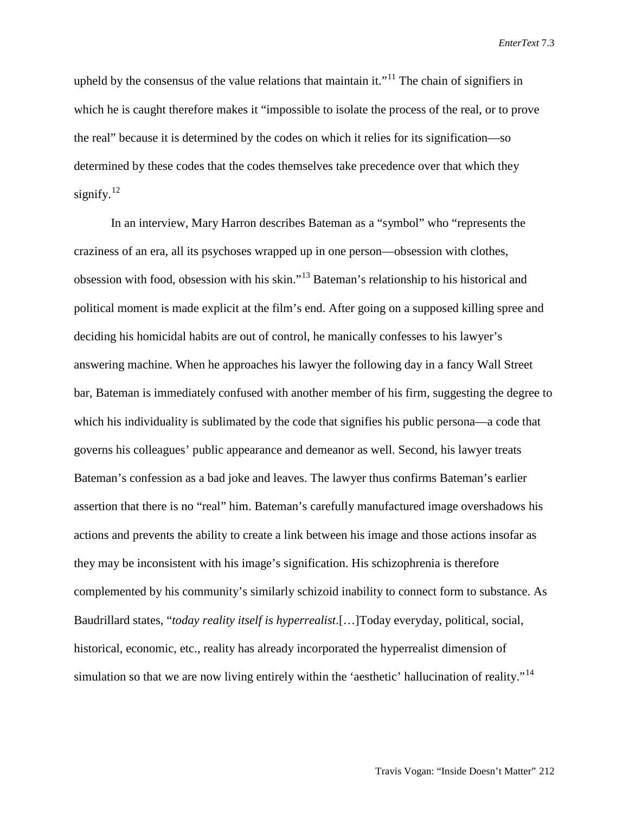upheld by the consensus of the value relations that maintain it."<sup>[11](#page-13-10)</sup> The chain of signifiers in which he is caught therefore makes it "impossible to isolate the process of the real, or to prove the real" because it is determined by the codes on which it relies for its signification—so determined by these codes that the codes themselves take precedence over that which they signify.<sup>[12](#page-13-11)</sup>

In an interview, Mary Harron describes Bateman as a "symbol" who "represents the craziness of an era, all its psychoses wrapped up in one person—obsession with clothes, obsession with food, obsession with his skin."[13](#page-13-12) Bateman's relationship to his historical and political moment is made explicit at the film's end. After going on a supposed killing spree and deciding his homicidal habits are out of control, he manically confesses to his lawyer's answering machine. When he approaches his lawyer the following day in a fancy Wall Street bar, Bateman is immediately confused with another member of his firm, suggesting the degree to which his individuality is sublimated by the code that signifies his public persona—a code that governs his colleagues' public appearance and demeanor as well. Second, his lawyer treats Bateman's confession as a bad joke and leaves. The lawyer thus confirms Bateman's earlier assertion that there is no "real" him. Bateman's carefully manufactured image overshadows his actions and prevents the ability to create a link between his image and those actions insofar as they may be inconsistent with his image's signification. His schizophrenia is therefore complemented by his community's similarly schizoid inability to connect form to substance. As Baudrillard states, "*today reality itself is hyperrealist*.[…]Today everyday, political, social, historical, economic, etc., reality has already incorporated the hyperrealist dimension of simulation so that we are now living entirely within the 'aesthetic' hallucination of reality."<sup>[14](#page-13-13)</sup>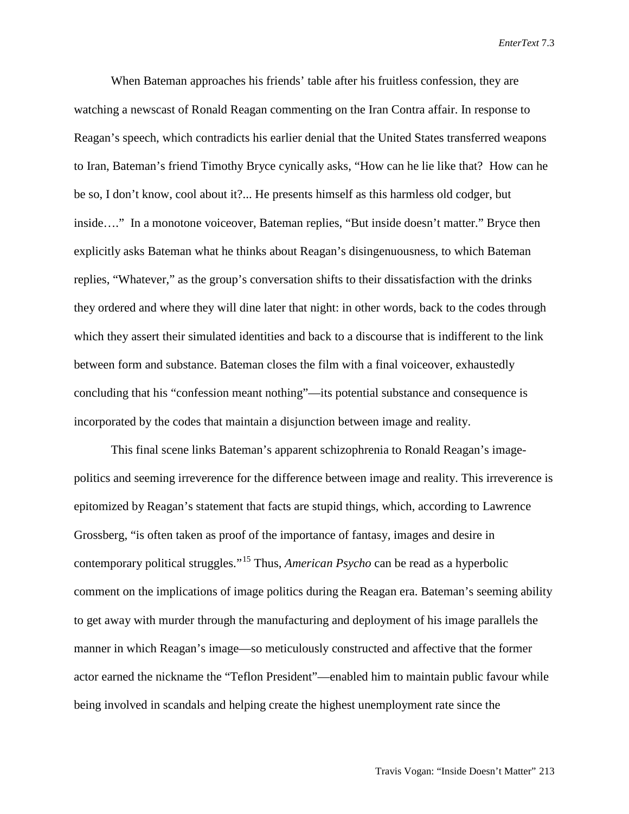When Bateman approaches his friends' table after his fruitless confession, they are watching a newscast of Ronald Reagan commenting on the Iran Contra affair. In response to Reagan's speech, which contradicts his earlier denial that the United States transferred weapons to Iran, Bateman's friend Timothy Bryce cynically asks, "How can he lie like that? How can he be so, I don't know, cool about it?... He presents himself as this harmless old codger, but inside…." In a monotone voiceover, Bateman replies, "But inside doesn't matter." Bryce then explicitly asks Bateman what he thinks about Reagan's disingenuousness, to which Bateman replies, "Whatever," as the group's conversation shifts to their dissatisfaction with the drinks they ordered and where they will dine later that night: in other words, back to the codes through which they assert their simulated identities and back to a discourse that is indifferent to the link between form and substance. Bateman closes the film with a final voiceover, exhaustedly concluding that his "confession meant nothing"—its potential substance and consequence is incorporated by the codes that maintain a disjunction between image and reality.

This final scene links Bateman's apparent schizophrenia to Ronald Reagan's imagepolitics and seeming irreverence for the difference between image and reality. This irreverence is epitomized by Reagan's statement that facts are stupid things, which, according to Lawrence Grossberg, "is often taken as proof of the importance of fantasy, images and desire in contemporary political struggles."[15](#page-13-14) Thus, *American Psycho* can be read as a hyperbolic comment on the implications of image politics during the Reagan era. Bateman's seeming ability to get away with murder through the manufacturing and deployment of his image parallels the manner in which Reagan's image—so meticulously constructed and affective that the former actor earned the nickname the "Teflon President"—enabled him to maintain public favour while being involved in scandals and helping create the highest unemployment rate since the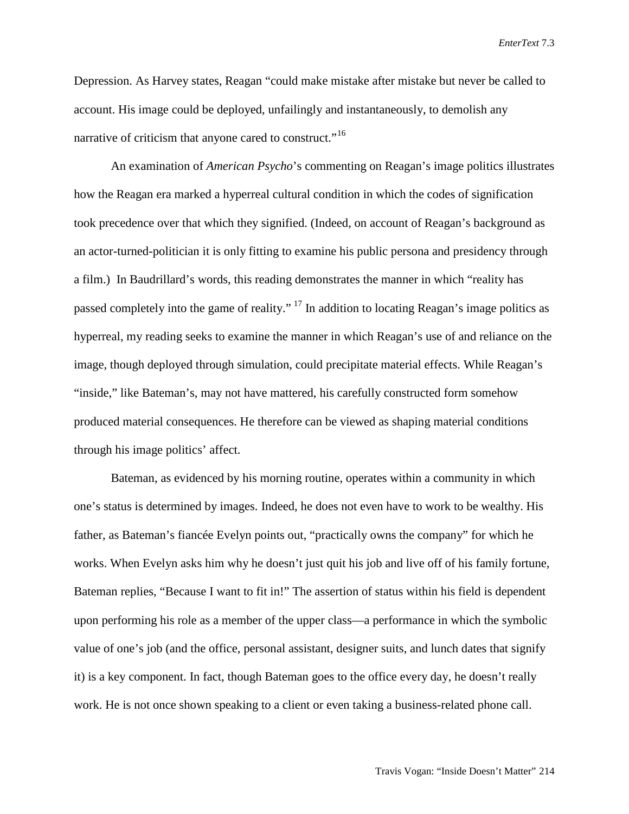Depression. As Harvey states, Reagan "could make mistake after mistake but never be called to account. His image could be deployed, unfailingly and instantaneously, to demolish any narrative of criticism that anyone cared to construct."<sup>16</sup>

An examination of *American Psycho*'s commenting on Reagan's image politics illustrates how the Reagan era marked a hyperreal cultural condition in which the codes of signification took precedence over that which they signified. (Indeed, on account of Reagan's background as an actor-turned-politician it is only fitting to examine his public persona and presidency through a film.) In Baudrillard's words, this reading demonstrates the manner in which "reality has passed completely into the game of reality." [17](#page-13-16) In addition to locating Reagan's image politics as hyperreal, my reading seeks to examine the manner in which Reagan's use of and reliance on the image, though deployed through simulation, could precipitate material effects. While Reagan's "inside," like Bateman's, may not have mattered, his carefully constructed form somehow produced material consequences. He therefore can be viewed as shaping material conditions through his image politics' affect.

Bateman, as evidenced by his morning routine, operates within a community in which one's status is determined by images. Indeed, he does not even have to work to be wealthy. His father, as Bateman's fiancée Evelyn points out, "practically owns the company" for which he works. When Evelyn asks him why he doesn't just quit his job and live off of his family fortune, Bateman replies, "Because I want to fit in!" The assertion of status within his field is dependent upon performing his role as a member of the upper class—a performance in which the symbolic value of one's job (and the office, personal assistant, designer suits, and lunch dates that signify it) is a key component. In fact, though Bateman goes to the office every day, he doesn't really work. He is not once shown speaking to a client or even taking a business-related phone call.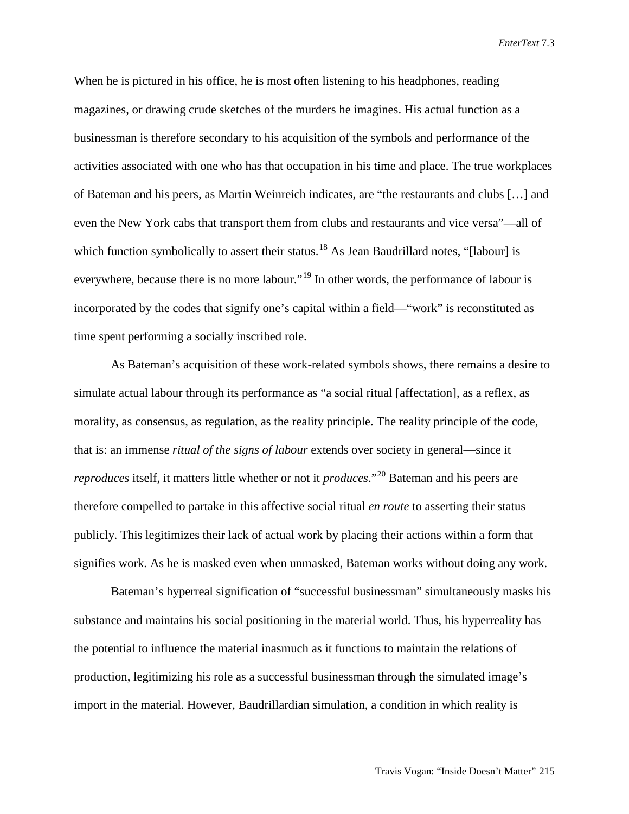When he is pictured in his office, he is most often listening to his headphones, reading magazines, or drawing crude sketches of the murders he imagines. His actual function as a businessman is therefore secondary to his acquisition of the symbols and performance of the activities associated with one who has that occupation in his time and place. The true workplaces of Bateman and his peers, as Martin Weinreich indicates, are "the restaurants and clubs […] and even the New York cabs that transport them from clubs and restaurants and vice versa"—all of which function symbolically to assert their status.<sup>[18](#page-13-17)</sup> As Jean Baudrillard notes, "[labour] is everywhere, because there is no more labour."<sup>[19](#page-13-18)</sup> In other words, the performance of labour is incorporated by the codes that signify one's capital within a field—"work" is reconstituted as time spent performing a socially inscribed role.

As Bateman's acquisition of these work-related symbols shows, there remains a desire to simulate actual labour through its performance as "a social ritual [affectation], as a reflex, as morality, as consensus, as regulation, as the reality principle. The reality principle of the code, that is: an immense *ritual of the signs of labour* extends over society in general—since it *reproduces* itself, it matters little whether or not it *produces*."[20](#page-13-19) Bateman and his peers are therefore compelled to partake in this affective social ritual *en route* to asserting their status publicly. This legitimizes their lack of actual work by placing their actions within a form that signifies work. As he is masked even when unmasked, Bateman works without doing any work.

Bateman's hyperreal signification of "successful businessman" simultaneously masks his substance and maintains his social positioning in the material world. Thus, his hyperreality has the potential to influence the material inasmuch as it functions to maintain the relations of production, legitimizing his role as a successful businessman through the simulated image's import in the material. However, Baudrillardian simulation, a condition in which reality is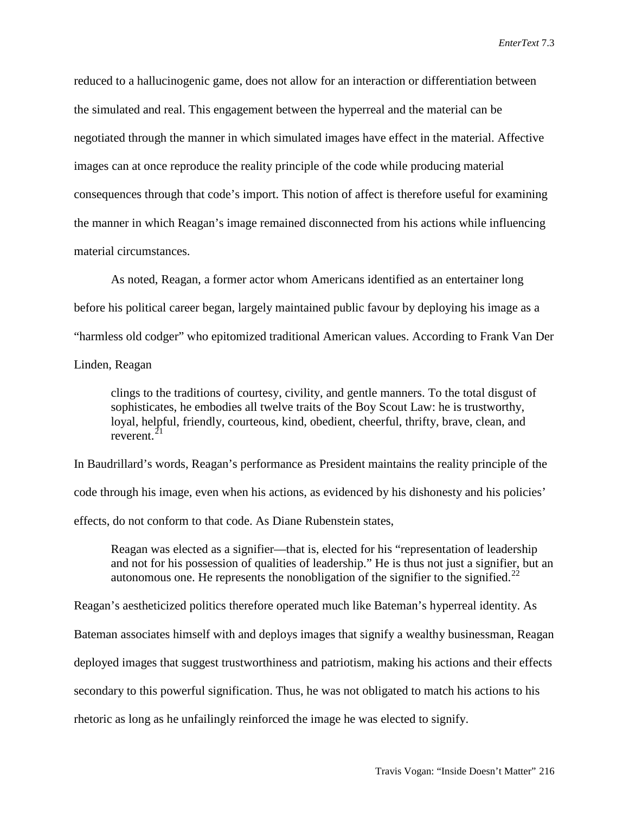reduced to a hallucinogenic game, does not allow for an interaction or differentiation between the simulated and real. This engagement between the hyperreal and the material can be negotiated through the manner in which simulated images have effect in the material. Affective images can at once reproduce the reality principle of the code while producing material consequences through that code's import. This notion of affect is therefore useful for examining the manner in which Reagan's image remained disconnected from his actions while influencing material circumstances.

As noted, Reagan, a former actor whom Americans identified as an entertainer long before his political career began, largely maintained public favour by deploying his image as a "harmless old codger" who epitomized traditional American values. According to Frank Van Der Linden, Reagan

clings to the traditions of courtesy, civility, and gentle manners. To the total disgust of sophisticates, he embodies all twelve traits of the Boy Scout Law: he is trustworthy, loyal, helpful, friendly, courteous, kind, obedient, cheerful, thrifty, brave, clean, and reverent. $21$ 

In Baudrillard's words, Reagan's performance as President maintains the reality principle of the code through his image, even when his actions, as evidenced by his dishonesty and his policies' effects, do not conform to that code. As Diane Rubenstein states,

Reagan was elected as a signifier—that is, elected for his "representation of leadership and not for his possession of qualities of leadership." He is thus not just a signifier, but an autonomous one. He represents the nonobligation of the signifier to the signified.<sup>[22](#page-13-21)</sup>

Reagan's aestheticized politics therefore operated much like Bateman's hyperreal identity. As

Bateman associates himself with and deploys images that signify a wealthy businessman, Reagan

deployed images that suggest trustworthiness and patriotism, making his actions and their effects

secondary to this powerful signification. Thus, he was not obligated to match his actions to his

rhetoric as long as he unfailingly reinforced the image he was elected to signify.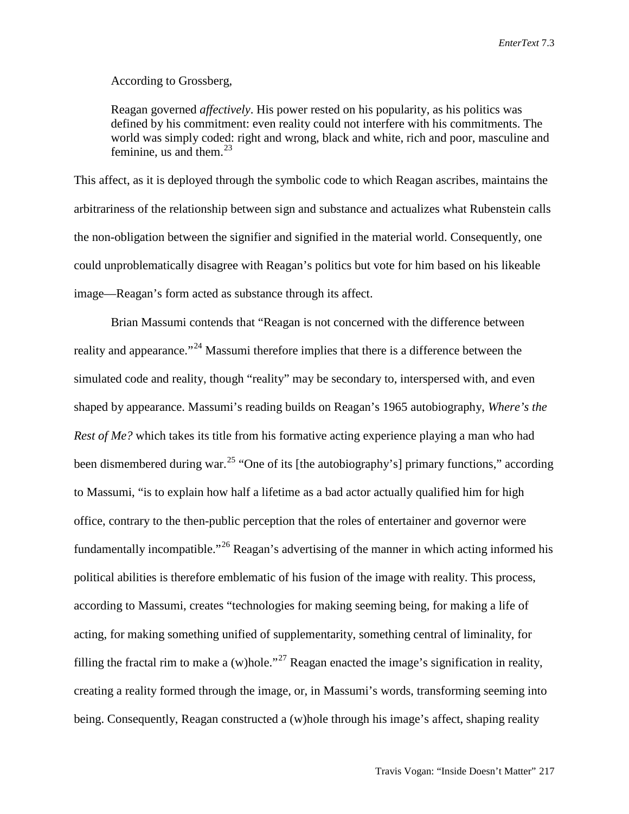According to Grossberg,

Reagan governed *affectively*. His power rested on his popularity, as his politics was defined by his commitment: even reality could not interfere with his commitments. The world was simply coded: right and wrong, black and white, rich and poor, masculine and feminine, us and them. $^{23}$  $^{23}$  $^{23}$ 

This affect, as it is deployed through the symbolic code to which Reagan ascribes, maintains the arbitrariness of the relationship between sign and substance and actualizes what Rubenstein calls the non-obligation between the signifier and signified in the material world. Consequently, one could unproblematically disagree with Reagan's politics but vote for him based on his likeable image—Reagan's form acted as substance through its affect.

Brian Massumi contends that "Reagan is not concerned with the difference between reality and appearance."<sup>[24](#page-13-23)</sup> Massumi therefore implies that there is a difference between the simulated code and reality, though "reality" may be secondary to, interspersed with, and even shaped by appearance. Massumi's reading builds on Reagan's 1965 autobiography, *Where's the Rest of Me?* which takes its title from his formative acting experience playing a man who had been dismembered during war.<sup>[25](#page-13-24)</sup> "One of its [the autobiography's] primary functions," according to Massumi, "is to explain how half a lifetime as a bad actor actually qualified him for high office, contrary to the then-public perception that the roles of entertainer and governor were fundamentally incompatible."[26](#page-13-25) Reagan's advertising of the manner in which acting informed his political abilities is therefore emblematic of his fusion of the image with reality. This process, according to Massumi, creates "technologies for making seeming being, for making a life of acting, for making something unified of supplementarity, something central of liminality, for filling the fractal rim to make a (w)hole."<sup>[27](#page-13-26)</sup> Reagan enacted the image's signification in reality, creating a reality formed through the image, or, in Massumi's words, transforming seeming into being. Consequently, Reagan constructed a (w)hole through his image's affect, shaping reality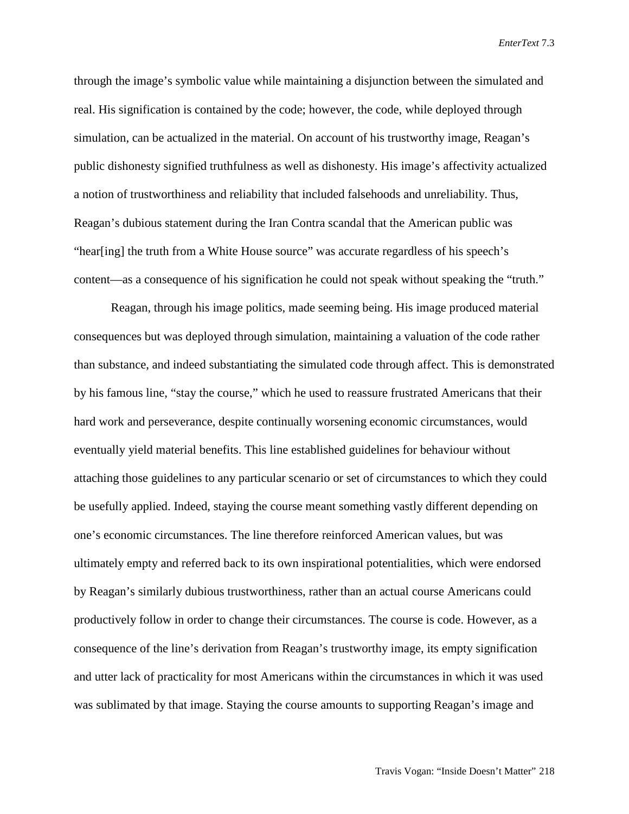through the image's symbolic value while maintaining a disjunction between the simulated and real. His signification is contained by the code; however, the code, while deployed through simulation, can be actualized in the material. On account of his trustworthy image, Reagan's public dishonesty signified truthfulness as well as dishonesty. His image's affectivity actualized a notion of trustworthiness and reliability that included falsehoods and unreliability. Thus, Reagan's dubious statement during the Iran Contra scandal that the American public was "hear[ing] the truth from a White House source" was accurate regardless of his speech's content—as a consequence of his signification he could not speak without speaking the "truth."

Reagan, through his image politics, made seeming being. His image produced material consequences but was deployed through simulation, maintaining a valuation of the code rather than substance, and indeed substantiating the simulated code through affect. This is demonstrated by his famous line, "stay the course," which he used to reassure frustrated Americans that their hard work and perseverance, despite continually worsening economic circumstances, would eventually yield material benefits. This line established guidelines for behaviour without attaching those guidelines to any particular scenario or set of circumstances to which they could be usefully applied. Indeed, staying the course meant something vastly different depending on one's economic circumstances. The line therefore reinforced American values, but was ultimately empty and referred back to its own inspirational potentialities, which were endorsed by Reagan's similarly dubious trustworthiness, rather than an actual course Americans could productively follow in order to change their circumstances. The course is code. However, as a consequence of the line's derivation from Reagan's trustworthy image, its empty signification and utter lack of practicality for most Americans within the circumstances in which it was used was sublimated by that image. Staying the course amounts to supporting Reagan's image and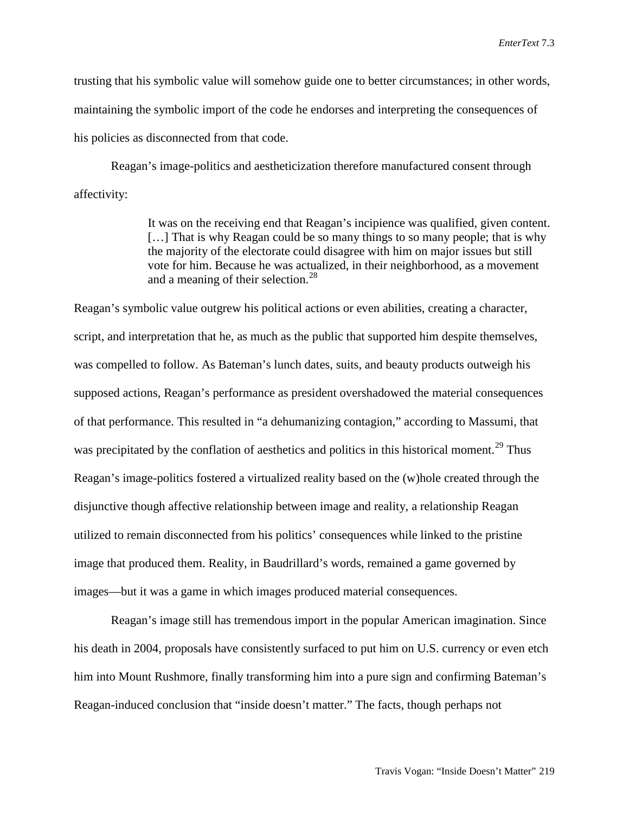trusting that his symbolic value will somehow guide one to better circumstances; in other words, maintaining the symbolic import of the code he endorses and interpreting the consequences of his policies as disconnected from that code.

Reagan's image-politics and aestheticization therefore manufactured consent through affectivity:

> It was on the receiving end that Reagan's incipience was qualified, given content. [...] That is why Reagan could be so many things to so many people; that is why the majority of the electorate could disagree with him on major issues but still vote for him. Because he was actualized, in their neighborhood, as a movement and a meaning of their selection.<sup>[28](#page-13-27)</sup>

Reagan's symbolic value outgrew his political actions or even abilities, creating a character, script, and interpretation that he, as much as the public that supported him despite themselves, was compelled to follow. As Bateman's lunch dates, suits, and beauty products outweigh his supposed actions, Reagan's performance as president overshadowed the material consequences of that performance. This resulted in "a dehumanizing contagion," according to Massumi, that was precipitated by the conflation of aesthetics and politics in this historical moment.<sup>[29](#page-13-28)</sup> Thus Reagan's image-politics fostered a virtualized reality based on the (w)hole created through the disjunctive though affective relationship between image and reality, a relationship Reagan utilized to remain disconnected from his politics' consequences while linked to the pristine image that produced them. Reality, in Baudrillard's words, remained a game governed by images—but it was a game in which images produced material consequences.

Reagan's image still has tremendous import in the popular American imagination. Since his death in 2004, proposals have consistently surfaced to put him on U.S. currency or even etch him into Mount Rushmore, finally transforming him into a pure sign and confirming Bateman's Reagan-induced conclusion that "inside doesn't matter." The facts, though perhaps not